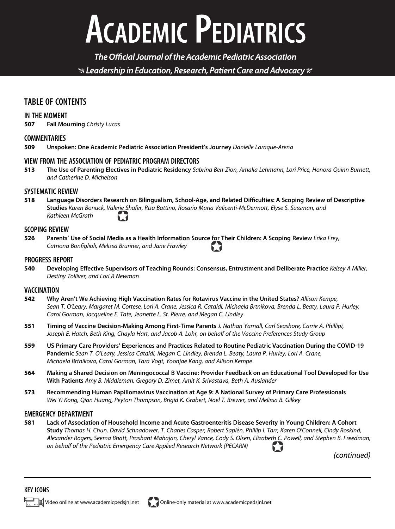# **ACADEMIC PEDIATRICS**

The Official Journal of the Academic Pediatric Association  $\mathcal G$  Leadership in Education, Research, Patient Care and Advocacy  $\mathcal C$ 

# TABLE OF CONTENTS

## IN THE MOMENT

507 Fall Mourning Christy Lucas

# **COMMENTARIES**

509 Unspoken: One Academic Pediatric Association President's Journey Danielle Laraque-Arena

## VIEW FROM THE ASSOCIATION OF PEDIATRIC PROGRAM DIRECTORS

513 The Use of Parenting Electives in Pediatric Residency Sabrina Ben-Zion, Amalia Lehmann, Lori Price, Honora Quinn Burnett, and Catherine D. Michelson

# SYSTEMATIC REVIEW

518 Language Disorders Research on Bilingualism, School-Age, and Related Difficulties: A Scoping Review of Descriptive Studies Karen Bonuck, Valerie Shafer, Risa Battino, Rosario Maria Valicenti-McDermott, Elyse S. Sussman, and Kathleen McGrath

#### SCOPING REVIEW

526 Parents' Use of Social Media as a Health Information Source for Their Children: A Scoping Review Erika Frey, Catriona Bonfiglioli, Melissa Brunner, and Jane Frawley

#### PROGRESS REPORT

540 Developing Effective Supervisors of Teaching Rounds: Consensus, Entrustment and Deliberate Practice Kelsey A Miller, Destiny Tolliver, and Lori R Newman

## **VACCINATION**

- 542 Why Aren't We Achieving High Vaccination Rates for Rotavirus Vaccine in the United States? Allison Kempe, Sean T. O'Leary, Margaret M. Cortese, Lori A. Crane, Jessica R. Cataldi, Michaela Brtnikova, Brenda L. Beaty, Laura P. Hurley, Carol Gorman, Jacqueline E. Tate, Jeanette L. St. Pierre, and Megan C. Lindley
- 551 Timing of Vaccine Decision-Making Among First-Time Parents J. Nathan Yarnall, Carl Seashore, Carrie A. Phillipi, Joseph E. Hatch, Beth King, Chayla Hart, and Jacob A. Lohr, on behalf of the Vaccine Preferences Study Group
- 559 US Primary Care Providers' Experiences and Practices Related to Routine Pediatric Vaccination During the COVID-19 Pandemic Sean T. O'Leary, Jessica Cataldi, Megan C. Lindley, Brenda L. Beaty, Laura P. Hurley, Lori A. Crane, Michaela Brtnikova, Carol Gorman, Tara Vogt, Yoonjae Kang, and Allison Kempe
- 564 Making a Shared Decision on Meningococcal B Vaccine: Provider Feedback on an Educational Tool Developed for Use With Patients Amy B. Middleman, Gregory D. Zimet, Amit K. Srivastava, Beth A. Auslander
- 573 Recommending Human Papillomavirus Vaccination at Age 9: A National Survey of Primary Care Professionals Wei Yi Kong, Qian Huang, Peyton Thompson, Brigid K. Grabert, Noel T. Brewer, and Melissa B. Gilkey

## EMERGENCY DEPARTMENT

581 Lack of Association of Household Income and Acute Gastroenteritis Disease Severity in Young Children: A Cohort Study Thomas H. Chun, David Schnadower, T. Charles Casper, Robert Sapien, Phillip I. Tarr, Karen O'Connell, Cindy Roskind, Alexander Rogers, Seema Bhatt, Prashant Mahajan, Cheryl Vance, Cody S. Olsen, Elizabeth C. Powell, and Stephen B. Freedman, on behalf of the Pediatric Emergency Care Applied Research Network (PECARN) 7

(continued)

## KEY ICONS